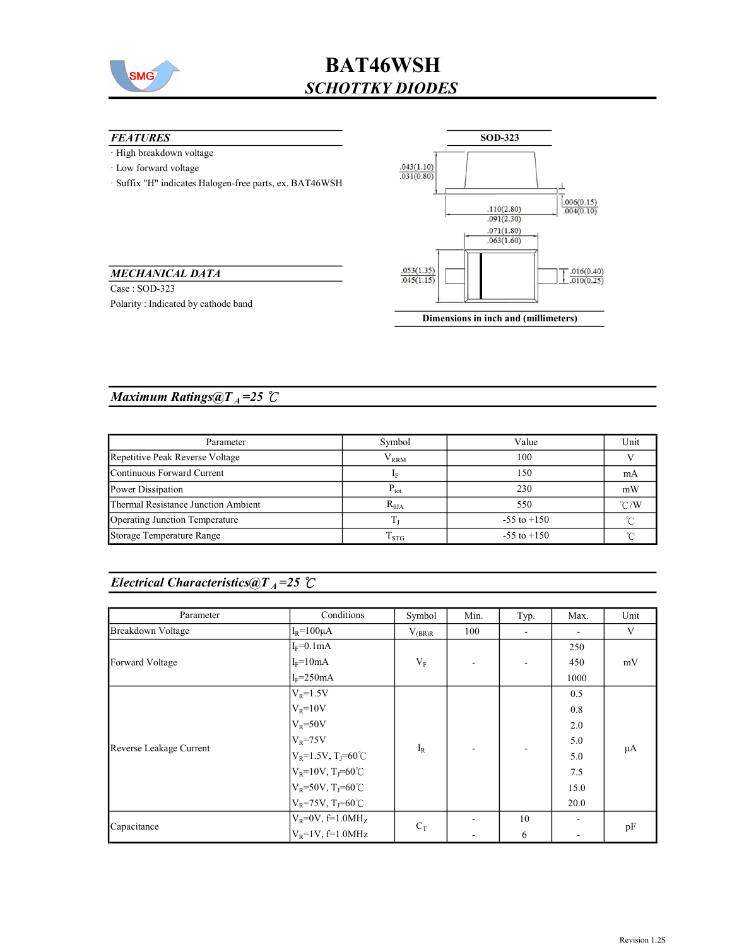

# BAT46WSH SCHOTTKY DIODES

#### **FEATURES**

- · High breakdown voltage
- · Low forward voltage
- · Suffix "H" indicates Halogen-free parts, ex. BAT46WSH



#### MECHANICAL DATA

Case : SOD-323 Polarity : Indicated by cathode band

#### Dimensions in inch and (millimeters)

### Maximum Ratings@ $T_A = 25$  °C

| Parameter                           | Symbol              | Value           | Unit          |
|-------------------------------------|---------------------|-----------------|---------------|
| Repetitive Peak Reverse Voltage     | ${\rm V}_{\rm RRM}$ | 100             |               |
| Continuous Forward Current          |                     | 150             | mA            |
| Power Dissipation                   | $P_{\text{tot}}$    | 230             | mW            |
| Thermal Resistance Junction Ambient | $R_{\theta JA}$     | 550             | $\degree$ C/W |
| Operating Junction Temperature      |                     | $-55$ to $+150$ |               |
| Storage Temperature Range           | $T_{\rm STG}$       | $-55$ to $+150$ |               |

### Electrical Characteristics@T<sub>A</sub>=25  $\mathcal{C}$

| Parameter                | Conditions                         | Symbol      | Min. | Typ.                     | Max. | Unit |    |
|--------------------------|------------------------------------|-------------|------|--------------------------|------|------|----|
| <b>Breakdown Voltage</b> | $I_R = 100 \mu A$                  | $V_{(BR)R}$ | 100  | $\overline{\phantom{a}}$ | ۰    | V    |    |
| Forward Voltage          | $I_F=0.1mA$                        |             |      |                          | 250  | mV   |    |
|                          | $I_F = 10mA$                       | $V_{F}$     |      |                          | 450  |      |    |
|                          | $I_F = 250mA$                      |             |      |                          | 1000 |      |    |
| Reverse Leakage Current  | $V_R = 1.5V$                       | $I_R$       |      |                          | 0.5  | μA   |    |
|                          | $V_R = 10V$                        |             |      |                          | 0.8  |      |    |
|                          | $V_R = 50V$                        |             |      |                          | 2.0  |      |    |
|                          | $V_R = 75V$                        |             |      |                          | 5.0  |      |    |
|                          | $V_R = 1.5V, T_J = 60^{\circ}C$    |             |      |                          | 5.0  |      |    |
|                          | $V_R = 10V$ , T <sub>J</sub> =60°C |             |      |                          |      | 7.5  |    |
|                          | $V_R = 50V$ , T <sub>J</sub> =60°C |             |      |                          |      | 15.0 |    |
|                          | $V_R$ =75V, T <sub>J</sub> =60°C   |             |      |                          | 20.0 |      |    |
| Capacitance              | $V_R = 0V$ , f=1.0MH <sub>z</sub>  | $C_T$       |      | 10                       |      |      |    |
|                          | $V_R = 1V$ , f=1.0MHz              |             |      |                          | 6    |      | pF |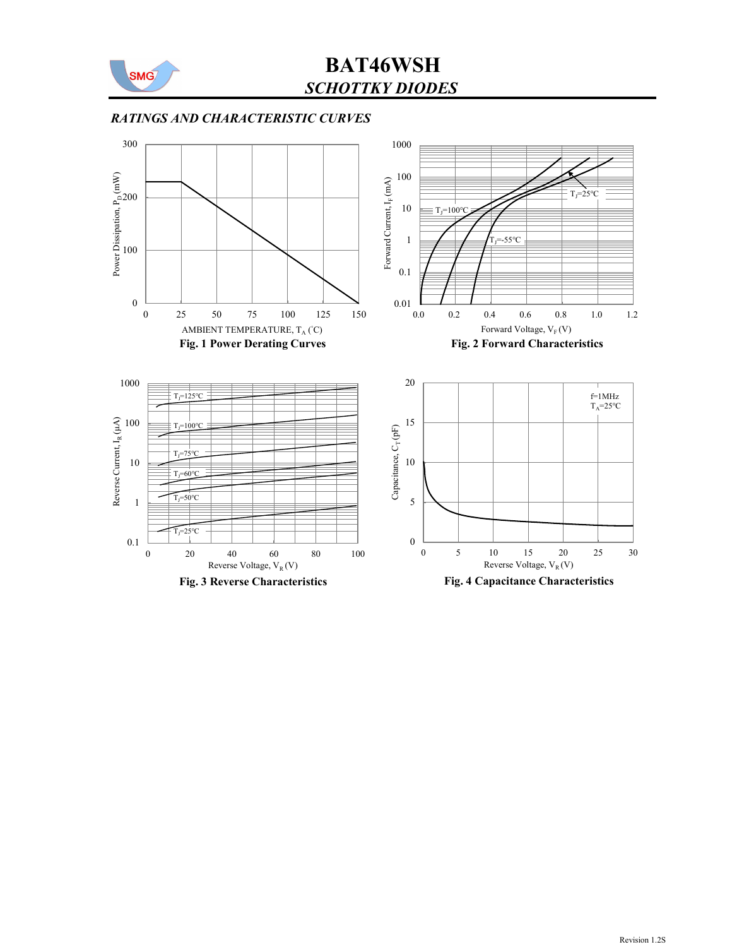

## SCHOTTKY DIODES BAT46WSH

### RATINGS AND CHARACTERISTIC CURVES

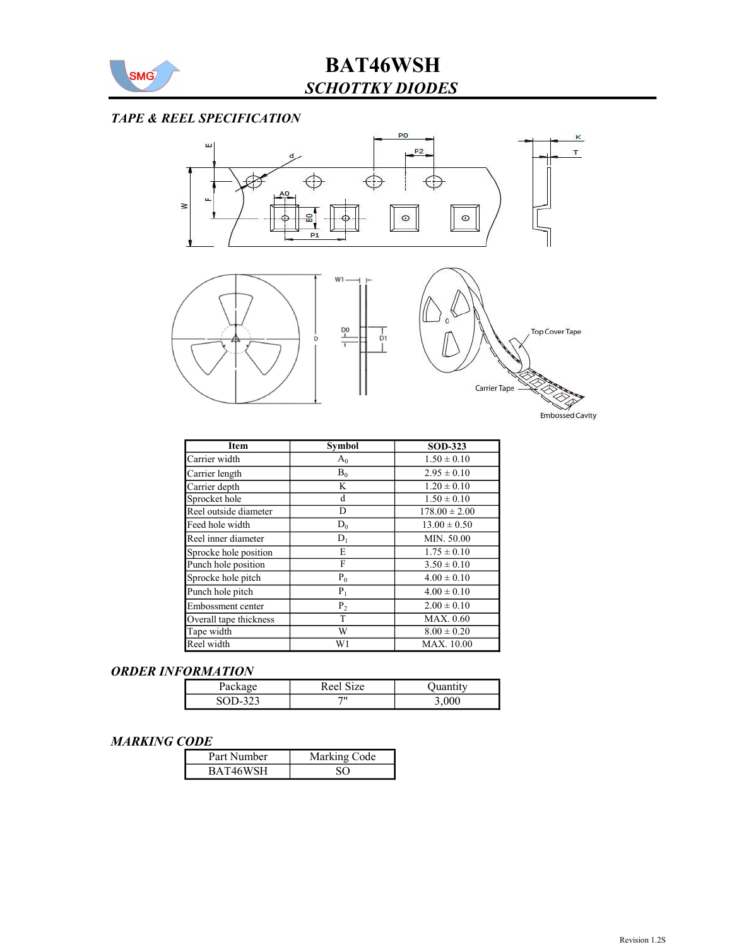

# BAT46WSH SCHOTTKY DIODES

### TAPE & REEL SPECIFICATION



| Item                   | <b>Symbol</b> | <b>SOD-323</b>    |
|------------------------|---------------|-------------------|
| Carrier width          | $A_0$         | $1.50 \pm 0.10$   |
| Carrier length         | $B_0$         | $2.95 \pm 0.10$   |
| Carrier depth          | K             | $1.20 \pm 0.10$   |
| Sprocket hole          | d             | $1.50 \pm 0.10$   |
| Reel outside diameter  | D             | $178.00 \pm 2.00$ |
| Feed hole width        | $D_0$         | $13.00 \pm 0.50$  |
| Reel inner diameter    | $D_1$         | MIN. 50.00        |
| Sprocke hole position  | Е             | $1.75 \pm 0.10$   |
| Punch hole position    | F             | $3.50 \pm 0.10$   |
| Sprocke hole pitch     | $P_0$         | $4.00 \pm 0.10$   |
| Punch hole pitch       | $P_1$         | $4.00 \pm 0.10$   |
| Embossment center      | $P_2$         | $2.00 \pm 0.10$   |
| Overall tape thickness | T             | MAX. 0.60         |
| Tape width             | W             | $8.00 \pm 0.20$   |
| Reel width             | W1            | <b>MAX.</b> 10.00 |

#### ORDER INFORMATION

| $Packa_{5}$ | $\sim$<br>Reel<br>ze |       |
|-------------|----------------------|-------|
| ر ب         | 711                  | 3,000 |

#### MARKING CODE

| Part Number | Marking Code |
|-------------|--------------|
| BAT46WSH    |              |